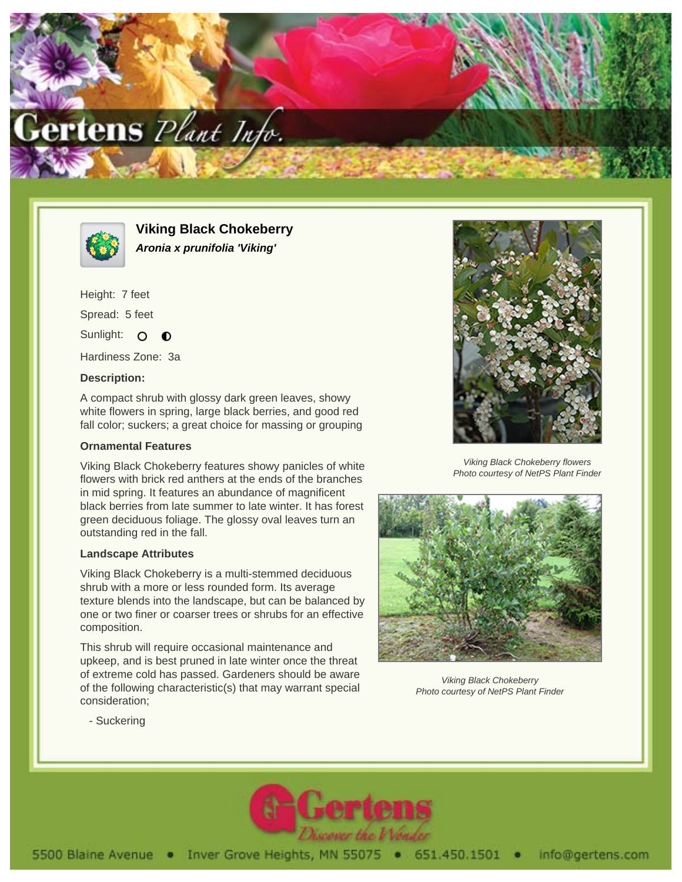



**Viking Black Chokeberry Aronia x prunifolia 'Viking'**

Height: 7 feet Spread: 5 feet Sunlight: O  $\bullet$ 

Hardiness Zone: 3a

## **Description:**

A compact shrub with glossy dark green leaves, showy white flowers in spring, large black berries, and good red fall color; suckers; a great choice for massing or grouping

## **Ornamental Features**

Viking Black Chokeberry features showy panicles of white flowers with brick red anthers at the ends of the branches in mid spring. It features an abundance of magnificent black berries from late summer to late winter. It has forest green deciduous foliage. The glossy oval leaves turn an outstanding red in the fall.

## **Landscape Attributes**

Viking Black Chokeberry is a multi-stemmed deciduous shrub with a more or less rounded form. Its average texture blends into the landscape, but can be balanced by one or two finer or coarser trees or shrubs for an effective composition.

This shrub will require occasional maintenance and upkeep, and is best pruned in late winter once the threat of extreme cold has passed. Gardeners should be aware of the following characteristic(s) that may warrant special consideration;



Viking Black Chokeberry flowers Photo courtesy of NetPS Plant Finder



Viking Black Chokeberry Photo courtesy of NetPS Plant Finder

- Suckering